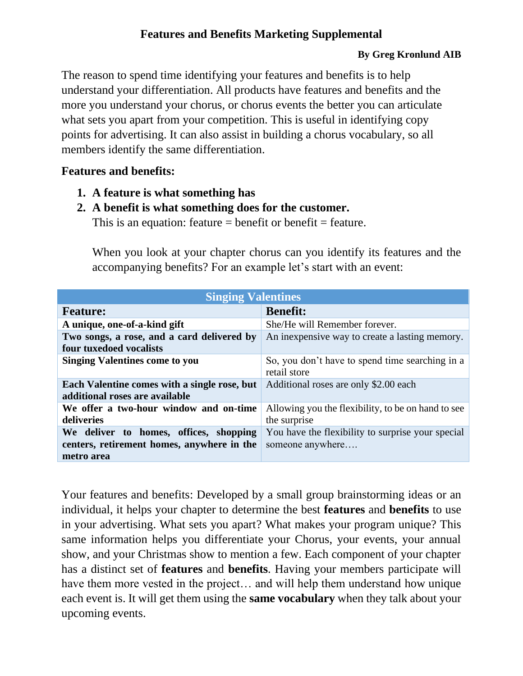## **Features and Benefits Marketing Supplemental**

## **By Greg Kronlund AIB**

The reason to spend time identifying your features and benefits is to help understand your differentiation. All products have features and benefits and the more you understand your chorus, or chorus events the better you can articulate what sets you apart from your competition. This is useful in identifying copy points for advertising. It can also assist in building a chorus vocabulary, so all members identify the same differentiation.

## **Features and benefits:**

- **1. A feature is what something has**
- **2. A benefit is what something does for the customer.**

This is an equation: feature  $=$  benefit or benefit  $=$  feature.

When you look at your chapter chorus can you identify its features and the accompanying benefits? For an example let's start with an event:

| <b>Singing Valentines</b>                                                                          |                                                                       |
|----------------------------------------------------------------------------------------------------|-----------------------------------------------------------------------|
| <b>Feature:</b>                                                                                    | <b>Benefit:</b>                                                       |
| A unique, one-of-a-kind gift                                                                       | She/He will Remember forever.                                         |
| Two songs, a rose, and a card delivered by<br>four tuxedoed vocalists                              | An inexpensive way to create a lasting memory.                        |
| <b>Singing Valentines come to you</b>                                                              | So, you don't have to spend time searching in a<br>retail store       |
| Each Valentine comes with a single rose, but<br>additional roses are available                     | Additional roses are only \$2.00 each                                 |
| We offer a two-hour window and on-time<br>deliveries                                               | Allowing you the flexibility, to be on hand to see<br>the surprise    |
| We deliver to homes, offices, shopping<br>centers, retirement homes, anywhere in the<br>metro area | You have the flexibility to surprise your special<br>someone anywhere |

Your features and benefits: Developed by a small group brainstorming ideas or an individual, it helps your chapter to determine the best **features** and **benefits** to use in your advertising. What sets you apart? What makes your program unique? This same information helps you differentiate your Chorus, your events, your annual show, and your Christmas show to mention a few. Each component of your chapter has a distinct set of **features** and **benefits**. Having your members participate will have them more vested in the project… and will help them understand how unique each event is. It will get them using the **same vocabulary** when they talk about your upcoming events.